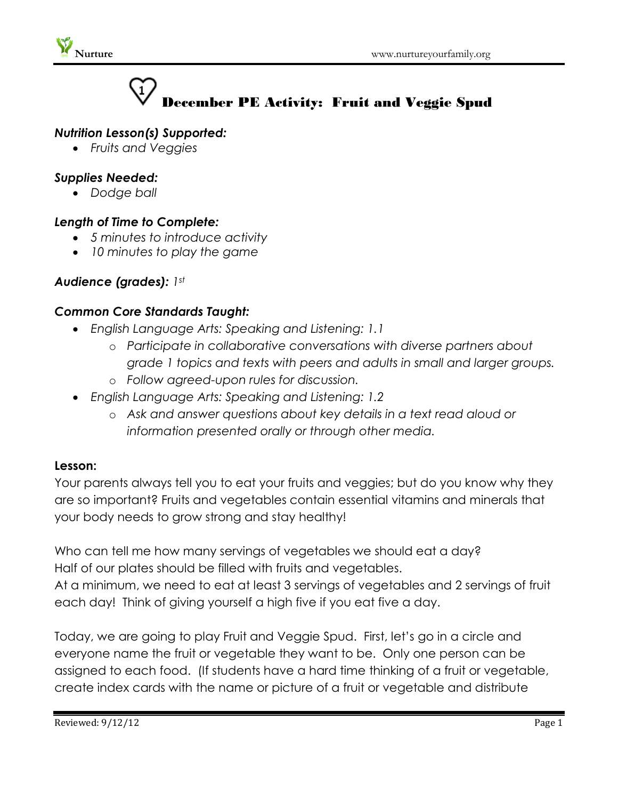

# December PE Activity: Fruit and Veggie Spud

## *Nutrition Lesson(s) Supported:*

*Fruits and Veggies*

## *Supplies Needed:*

*Dodge ball*

## *Length of Time to Complete:*

- *5 minutes to introduce activity*
- *10 minutes to play the game*

# *Audience (grades): 1st*

### *Common Core Standards Taught:*

- *English Language Arts: Speaking and Listening: 1.1*
	- o *Participate in collaborative conversations with diverse partners about grade 1 topics and texts with peers and adults in small and larger groups.*
	- o *Follow agreed-upon rules for discussion.*
- *English Language Arts: Speaking and Listening: 1.2*
	- o *Ask and answer questions about key details in a text read aloud or information presented orally or through other media.*

### **Lesson:**

Your parents always tell you to eat your fruits and veggies; but do you know why they are so important? Fruits and vegetables contain essential vitamins and minerals that your body needs to grow strong and stay healthy!

Who can tell me how many servings of vegetables we should eat a day? Half of our plates should be filled with fruits and vegetables. At a minimum, we need to eat at least 3 servings of vegetables and 2 servings of fruit each day! Think of giving yourself a high five if you eat five a day.

Today, we are going to play Fruit and Veggie Spud. First, let's go in a circle and everyone name the fruit or vegetable they want to be. Only one person can be assigned to each food. (If students have a hard time thinking of a fruit or vegetable, create index cards with the name or picture of a fruit or vegetable and distribute